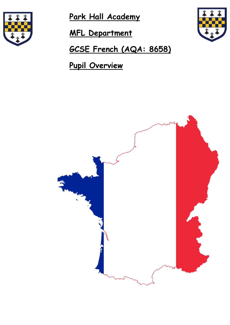

**Park Hall Academy** 

 **MFL Department** 



 **GCSE French (AQA: 8658)** 

 **Pupil Overview** 

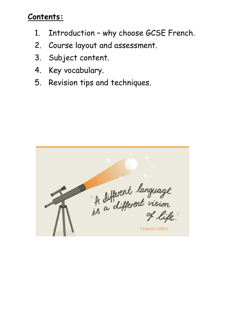### **Contents:**

- 1. Introduction why choose GCSE French.
- 2. Course layout and assessment.
- 3. Subject content.
- 4. Key vocabulary.
- 5. Revision tips and techniques.

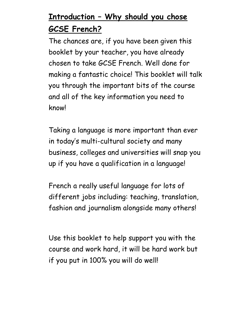# **Introduction – Why should you chose GCSE French?**

The chances are, if you have been given this booklet by your teacher, you have already chosen to take GCSE French. Well done for making a fantastic choice! This booklet will talk you through the important bits of the course and all of the key information you need to know!

Taking a language is more important than ever in today's multi-cultural society and many business, colleges and universities will snap you up if you have a qualification in a language!

French a really useful language for lots of different jobs including: teaching, translation, fashion and journalism alongside many others!

Use this booklet to help support you with the course and work hard, it will be hard work but if you put in 100% you will do well!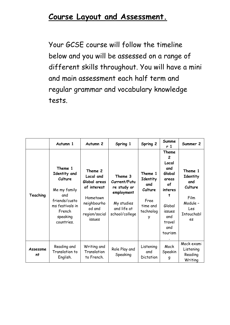### **Course Layout and Assessment.**

Your GCSE course will follow the timeline below and you will be assessed on a range of different skills throughout. You will have a mini and main assessment each half term and regular grammar and vocabulary knowledge tests.

|                | Autumn 1                                                                                                                          | Autumn <sub>2</sub>                                                                                                 | Spring 1                                                                                            | Spring 2                                                                    | Summe<br>r 1                                                                                                                            | Summer 2                                                                             |
|----------------|-----------------------------------------------------------------------------------------------------------------------------------|---------------------------------------------------------------------------------------------------------------------|-----------------------------------------------------------------------------------------------------|-----------------------------------------------------------------------------|-----------------------------------------------------------------------------------------------------------------------------------------|--------------------------------------------------------------------------------------|
| Teaching       | Theme 1<br>Identity and<br>Culture<br>Me my family<br>and<br>friends/custo<br>ms festivals in<br>French<br>speaking<br>countries. | Theme 2<br>Local and<br>Global areas<br>of interest<br>Hometown<br>neighbourho<br>od and<br>region/social<br>issues | Theme 3<br>Current/Futu<br>re study or<br>employment<br>My studies<br>and life at<br>school/college | Theme 1<br>Identity<br>and<br>Culture<br>Free<br>time and<br>technolog<br>у | Theme<br>$\overline{c}$<br>Local<br>and<br>Global<br>areas<br>of<br>interes<br>t<br>Global<br>issues<br>and<br>travel<br>and<br>tourism | Theme 1<br>Identity<br>and<br>Culture<br>Film<br>Module -<br>Les<br>Intouchabl<br>es |
| Assessme<br>nt | Reading and<br>Translation to<br>English.                                                                                         | Writing and<br>Translation<br>to French.                                                                            | Role Play and<br>Speaking                                                                           | Listening<br>and<br>Dictation                                               | Mock<br>Speakin<br>g                                                                                                                    | Mock exam:<br>Listening<br>Reading<br>Writing                                        |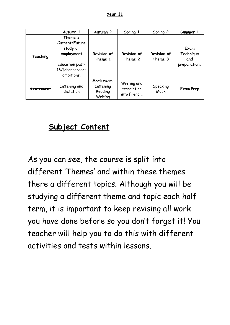| ı۳<br>20 |  |
|----------|--|
|          |  |

|            | Autumn 1                                                                                                | Autumn <sub>2</sub>                           | Spring 1                                   | Spring 2                      | Summer 1                                 |
|------------|---------------------------------------------------------------------------------------------------------|-----------------------------------------------|--------------------------------------------|-------------------------------|------------------------------------------|
| Teaching   | Theme 3<br>Current/Future<br>study or<br>employment<br>Education post-<br>16/jobs/careers<br>ambitions. | Revision of<br>Theme 1                        | <b>Revision of</b><br>Theme 2              | <b>Revision of</b><br>Theme 3 | Exam<br>Technique<br>and<br>preparation. |
| Assessment | Listening and<br>dictation                                                                              | Mock exam:<br>Listening<br>Reading<br>Writing | Writing and<br>translation<br>into French. | Speaking<br>Mock              | Exam Prep                                |

### **Subject Content**

As you can see, the course is split into different 'Themes' and within these themes there a different topics. Although you will be studying a different theme and topic each half term, it is important to keep revising all work you have done before so you don't forget it! You teacher will help you to do this with different activities and tests within lessons.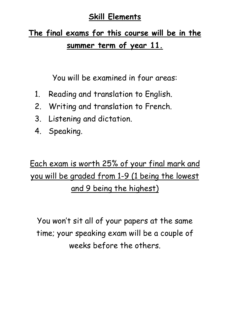### **Skill Elements**

# **The final exams for this course will be in the summer term of year 11.**

You will be examined in four areas:

- 1. Reading and translation to English.
- 2. Writing and translation to French.
- 3. Listening and dictation.
- 4. Speaking.

# Each exam is worth 25% of your final mark and you will be graded from 1-9 (1 being the lowest and 9 being the highest)

You won't sit all of your papers at the same time; your speaking exam will be a couple of weeks before the others.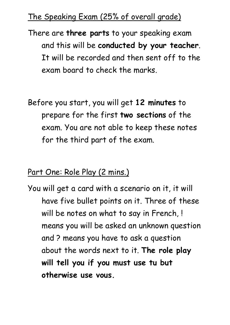## The Speaking Exam (25% of overall grade)

There are **three parts** to your speaking exam and this will be **conducted by your teacher**. It will be recorded and then sent off to the exam board to check the marks.

Before you start, you will get **12 minutes** to prepare for the first **two sections** of the exam. You are not able to keep these notes for the third part of the exam.

### Part One: Role Play (2 mins.)

You will get a card with a scenario on it, it will have five bullet points on it. Three of these will be notes on what to say in French, ! means you will be asked an unknown question and ? means you have to ask a question about the words next to it. **The role play will tell you if you must use tu but otherwise use vous.**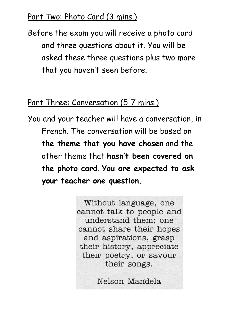### Part Two: Photo Card (3 mins.)

Before the exam you will receive a photo card and three questions about it. You will be asked these three questions plus two more that you haven't seen before.

### Part Three: Conversation (5-7 mins.)

You and your teacher will have a conversation, in French. The conversation will be based on **the theme that you have chosen** and the other theme that **hasn't been covered on the photo card**. **You are expected to ask your teacher one question.** 

> Without language, one cannot talk to people and understand them; one cannot share their hopes and aspirations, grasp their history, appreciate their poetry, or savour their songs.

> > Nelson Mandela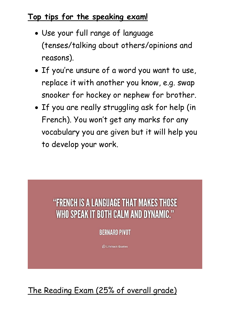## **Top tips for the speaking exam!**

- Use your full range of language (tenses/talking about others/opinions and reasons).
- If you're unsure of a word you want to use, replace it with another you know, e.g. swap snooker for hockey or nephew for brother.
- If you are really struggling ask for help (in French). You won't get any marks for any vocabulary you are given but it will help you to develop your work.

# "FRENCH IS A LANGUAGE THAT MAKES THOSE WHO SPEAK IT BOTH CALM AND DYNAMIC."

**BERNARD PIVOT** 

© Lifehack Quotes

The Reading Exam (25% of overall grade)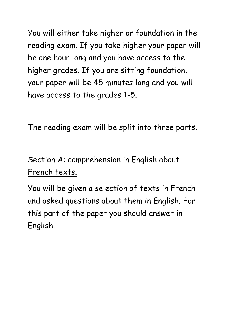You will either take higher or foundation in the reading exam. If you take higher your paper will be one hour long and you have access to the higher grades. If you are sitting foundation, your paper will be 45 minutes long and you will have access to the grades 1-5.

The reading exam will be split into three parts.

# Section A: comprehension in English about French texts.

You will be given a selection of texts in French and asked questions about them in English. For this part of the paper you should answer in English.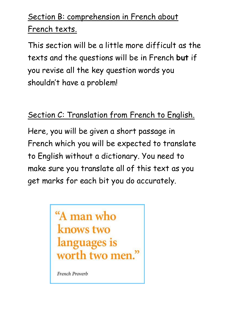# Section B: comprehension in French about French texts.

This section will be a little more difficult as the texts and the questions will be in French **but** if you revise all the key question words you shouldn't have a problem!

# Section C: Translation from French to English.

Here, you will be given a short passage in French which you will be expected to translate to English without a dictionary. You need to make sure you translate all of this text as you get marks for each bit you do accurately.



French Proverb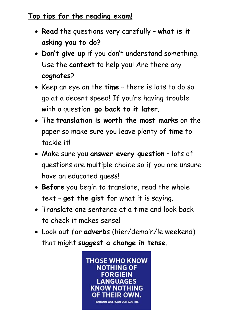### **Top tips for the reading exam!**

- **Read** the questions very carefully **what is it asking you to do?**
- **Don't give up** if you don't understand something. Use the **context** to help you! Are there any **cognates**?
- Keep an eye on the **time** there is lots to do so go at a decent speed! If you're having trouble with a question **go back to it later**.
- The **translation is worth the most marks** on the paper so make sure you leave plenty of **time** to tackle it!
- Make sure you **answer every question** lots of questions are multiple choice so if you are unsure have an educated guess!
- **Before** you begin to translate, read the whole text – **get the gist** for what it is saying.
- Translate one sentence at a time and look back to check it makes sense!
- Look out for **adverb**s (hier/demain/le weekend) that might **suggest a change in tense**.

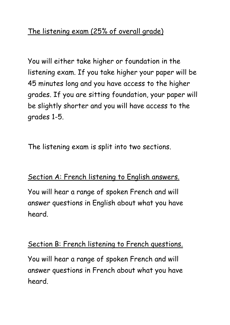You will either take higher or foundation in the listening exam. If you take higher your paper will be 45 minutes long and you have access to the higher grades. If you are sitting foundation, your paper will be slightly shorter and you will have access to the grades 1-5.

The listening exam is split into two sections.

#### Section A: French listening to English answers.

You will hear a range of spoken French and will answer questions in English about what you have heard.

#### Section B: French listening to French questions.

You will hear a range of spoken French and will answer questions in French about what you have heard.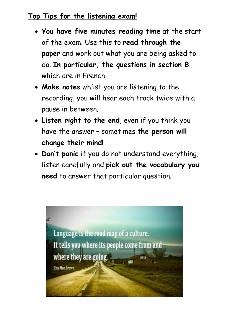#### **Top Tips for the listening exam!**

- **You have five minutes reading time** at the start of the exam. Use this to **read through the paper** and work out what you are being asked to do. **In particular, the questions in section B** which are in French.
- **Make notes** whilst you are listening to the recording, you will hear each track twice with a pause in between.
- **Listen right to the end**, even if you think you have the answer – sometimes **the person will change their mind!**
- **Don't panic** if you do not understand everything, listen carefully and **pick out the vocabulary you need** to answer that particular question.

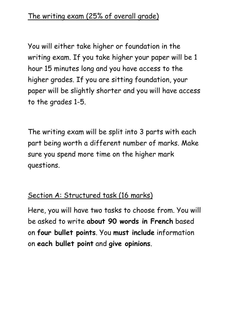You will either take higher or foundation in the writing exam. If you take higher your paper will be 1 hour 15 minutes long and you have access to the higher grades. If you are sitting foundation, your paper will be slightly shorter and you will have access to the grades 1-5.

The writing exam will be split into 3 parts with each part being worth a different number of marks. Make sure you spend more time on the higher mark questions.

### Section A: Structured task (16 marks)

Here, you will have two tasks to choose from. You will be asked to write **about 90 words in French** based on **four bullet points**. You **must include** information on **each bullet point** and **give opinions**.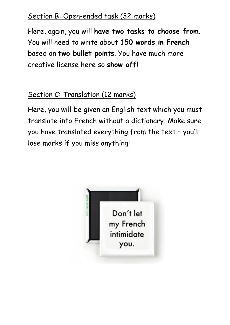### Section B: Open-ended task (32 marks)

Here, again, you will **have two tasks to choose from**. You will need to write about **150 words in French** based on **two bullet points**. You have much more creative license here so **show off!**

## Section C: Translation (12 marks)

Here, you will be given an English text which you must translate into French without a dictionary. Make sure you have translated everything from the text – you'll lose marks if you miss anything!

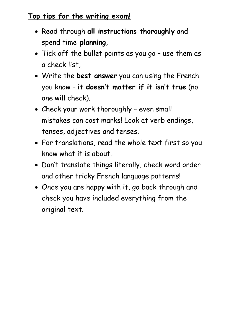### **Top tips for the writing exam!**

- Read through **all instructions thoroughly** and spend time **planning**,
- Tick off the bullet points as you go use them as a check list,
- Write the **best answer** you can using the French you know – **it doesn't matter if it isn't true** (no one will check).
- Check your work thoroughly even small mistakes can cost marks! Look at verb endings, tenses, adjectives and tenses.
- For translations, read the whole text first so you know what it is about.
- Don't translate things literally, check word order and other tricky French language patterns!
- Once you are happy with it, go back through and check you have included everything from the original text.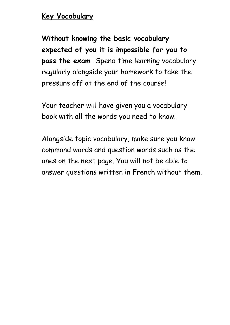#### **Key Vocabulary**

**Without knowing the basic vocabulary expected of you it is impossible for you to pass the exam.** Spend time learning vocabulary regularly alongside your homework to take the pressure off at the end of the course!

Your teacher will have given you a vocabulary book with all the words you need to know!

Alongside topic vocabulary, make sure you know command words and question words such as the ones on the next page. You will not be able to answer questions written in French without them.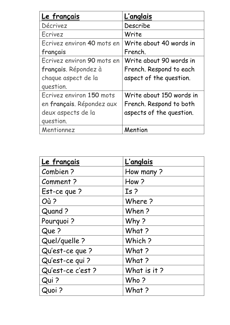| Le français                | <u>L'anglais</u>         |
|----------------------------|--------------------------|
| Décrivez                   | Describe                 |
| Ecrivez                    | Write                    |
| Ecrivez environ 40 mots en | Write about 40 words in  |
| français                   | French.                  |
| Ecrivez environ 90 mots en | Write about 90 words in  |
| français. Répondez à       | French. Respond to each  |
| chaque aspect de la        | aspect of the question.  |
| question.                  |                          |
| Ecrivez environ 150 mots   | Write about 150 words in |
| en français. Répondez aux  | French. Respond to both  |
| deux aspects de la         | aspects of the question. |
| question.                  |                          |
| Mentionnez                 | Mention                  |

| Le français      | <b>L'anglais</b> |
|------------------|------------------|
| Combien?         | How many?        |
| Comment?         | How?             |
| Est-ce que?      | Is <sub>2</sub>  |
| Où?              | Where?           |
| Quand ?          | When?            |
| Pourquoi?        | Why?             |
| Que?             | What ?           |
| Quel/quelle?     | Which?           |
| Qu'est-ce que?   | What ?           |
| Qu'est-ce qui?   | What ?           |
| Qu'est-ce c'est? | What is it?      |
| Qui?             | Who?             |
| Quoi ?           | What?            |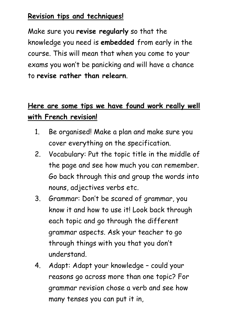### **Revision tips and techniques!**

Make sure you **revise regularly** so that the knowledge you need is **embedded** from early in the course. This will mean that when you come to your exams you won't be panicking and will have a chance to **revise rather than relearn**.

## **Here are some tips we have found work really well with French revision!**

- 1. Be organised! Make a plan and make sure you cover everything on the specification.
- 2. Vocabulary: Put the topic title in the middle of the page and see how much you can remember. Go back through this and group the words into nouns, adjectives verbs etc.
- 3. Grammar: Don't be scared of grammar, you know it and how to use it! Look back through each topic and go through the different grammar aspects. Ask your teacher to go through things with you that you don't understand.
- 4. Adapt: Adapt your knowledge could your reasons go across more than one topic? For grammar revision chose a verb and see how many tenses you can put it in,